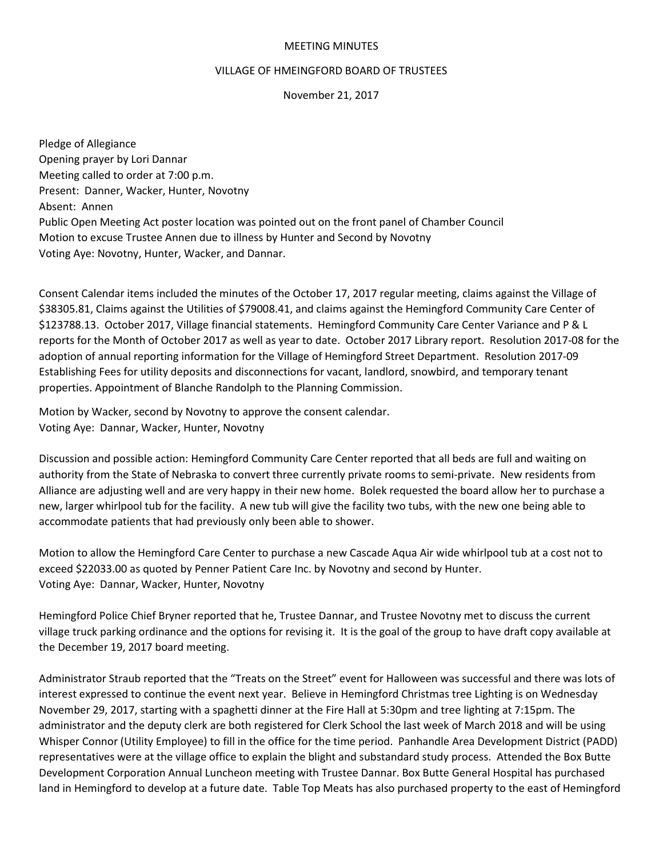## MEETING MINUTES

## VILLAGE OF HMEINGFORD BOARD OF TRUSTEES

November 21, 2017

Pledge of Allegiance Opening prayer by Lori Dannar Meeting called to order at 7:00 p.m. Present: Danner, Wacker, Hunter, Novotny Absent: Annen Public Open Meeting Act poster location was pointed out on the front panel of Chamber Council Motion to excuse Trustee Annen due to illness by Hunter and Second by Novotny Voting Aye: Novotny, Hunter, Wacker, and Dannar.

Consent Calendar items included the minutes of the October 17, 2017 regular meeting, claims against the Village of \$38305.81, Claims against the Utilities of \$79008.41, and claims against the Hemingford Community Care Center of \$123788.13. October 2017, Village financial statements. Hemingford Community Care Center Variance and P & L reports for the Month of October 2017 as well as year to date. October 2017 Library report. Resolution 2017-08 for the adoption of annual reporting information for the Village of Hemingford Street Department. Resolution 2017-09 Establishing Fees for utility deposits and disconnections for vacant, landlord, snowbird, and temporary tenant properties. Appointment of Blanche Randolph to the Planning Commission.

Motion by Wacker, second by Novotny to approve the consent calendar. Voting Aye: Dannar, Wacker, Hunter, Novotny

Discussion and possible action: Hemingford Community Care Center reported that all beds are full and waiting on authority from the State of Nebraska to convert three currently private rooms to semi-private. New residents from Alliance are adjusting well and are very happy in their new home. Bolek requested the board allow her to purchase a new, larger whirlpool tub for the facility. A new tub will give the facility two tubs, with the new one being able to accommodate patients that had previously only been able to shower.

Motion to allow the Hemingford Care Center to purchase a new Cascade Aqua Air wide whirlpool tub at a cost not to exceed \$22033.00 as quoted by Penner Patient Care Inc. by Novotny and second by Hunter. Voting Aye: Dannar, Wacker, Hunter, Novotny

Hemingford Police Chief Bryner reported that he, Trustee Dannar, and Trustee Novotny met to discuss the current village truck parking ordinance and the options for revising it. It is the goal of the group to have draft copy available at the December 19, 2017 board meeting.

Administrator Straub reported that the "Treats on the Street" event for Halloween was successful and there was lots of interest expressed to continue the event next year. Believe in Hemingford Christmas tree Lighting is on Wednesday November 29, 2017, starting with a spaghetti dinner at the Fire Hall at 5:30pm and tree lighting at 7:15pm. The administrator and the deputy clerk are both registered for Clerk School the last week of March 2018 and will be using Whisper Connor (Utility Employee) to fill in the office for the time period. Panhandle Area Development District (PADD) representatives were at the village office to explain the blight and substandard study process. Attended the Box Butte Development Corporation Annual Luncheon meeting with Trustee Dannar. Box Butte General Hospital has purchased land in Hemingford to develop at a future date. Table Top Meats has also purchased property to the east of Hemingford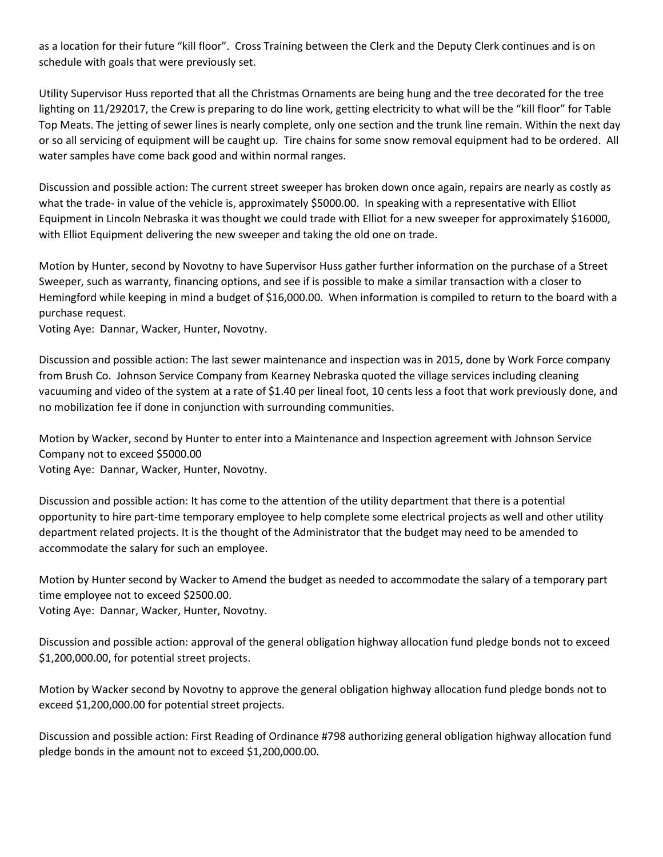as a location for their future "kill floor". Cross Training between the Clerk and the Deputy Clerk continues and is on schedule with goals that were previously set.

Utility Supervisor Huss reported that all the Christmas Ornaments are being hung and the tree decorated for the tree lighting on 11/292017, the Crew is preparing to do line work, getting electricity to what will be the "kill floor" for Table Top Meats. The jetting of sewer lines is nearly complete, only one section and the trunk line remain. Within the next day or so all servicing of equipment will be caught up. Tire chains for some snow removal equipment had to be ordered. All water samples have come back good and within normal ranges.

Discussion and possible action: The current street sweeper has broken down once again, repairs are nearly as costly as what the trade- in value of the vehicle is, approximately \$5000.00. In speaking with a representative with Elliot Equipment in Lincoln Nebraska it was thought we could trade with Elliot for a new sweeper for approximately \$16000, with Elliot Equipment delivering the new sweeper and taking the old one on trade.

Motion by Hunter, second by Novotny to have Supervisor Huss gather further information on the purchase of a Street Sweeper, such as warranty, financing options, and see if is possible to make a similar transaction with a closer to Hemingford while keeping in mind a budget of \$16,000.00. When information is compiled to return to the board with a purchase request.

Voting Aye: Dannar, Wacker, Hunter, Novotny.

Discussion and possible action: The last sewer maintenance and inspection was in 2015, done by Work Force company from Brush Co. Johnson Service Company from Kearney Nebraska quoted the village services including cleaning vacuuming and video of the system at a rate of \$1.40 per lineal foot, 10 cents less a foot that work previously done, and no mobilization fee if done in conjunction with surrounding communities.

Motion by Wacker, second by Hunter to enter into a Maintenance and Inspection agreement with Johnson Service Company not to exceed \$5000.00

Voting Aye: Dannar, Wacker, Hunter, Novotny.

Discussion and possible action: It has come to the attention of the utility department that there is a potential opportunity to hire part-time temporary employee to help complete some electrical projects as well and other utility department related projects. It is the thought of the Administrator that the budget may need to be amended to accommodate the salary for such an employee.

Motion by Hunter second by Wacker to Amend the budget as needed to accommodate the salary of a temporary part time employee not to exceed \$2500.00. Voting Aye: Dannar, Wacker, Hunter, Novotny.

Discussion and possible action: approval of the general obligation highway allocation fund pledge bonds not to exceed \$1,200,000.00, for potential street projects.

Motion by Wacker second by Novotny to approve the general obligation highway allocation fund pledge bonds not to exceed \$1,200,000.00 for potential street projects.

Discussion and possible action: First Reading of Ordinance #798 authorizing general obligation highway allocation fund pledge bonds in the amount not to exceed \$1,200,000.00.